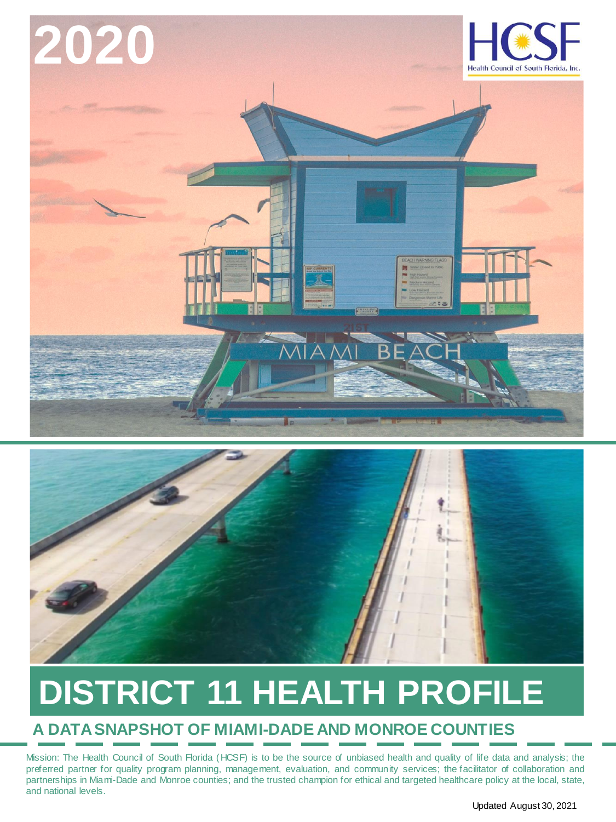



# **DISTRICT 11 HEALTH PROFILE**

#### **A DATA SNAPSHOT OF MIAMI-DADE AND MONROE COUNTIES**

Mission: The Health Council of South Florida (HCSF) is to be the source of unbiased health and quality of life data and analysis; the preferred partner for quality program planning, management, evaluation, and community services; the facilitator of collaboration and partnerships in Miami-Dade and Monroe counties; and the trusted champion for ethical and targeted healthcare policy at the local, state, and national levels.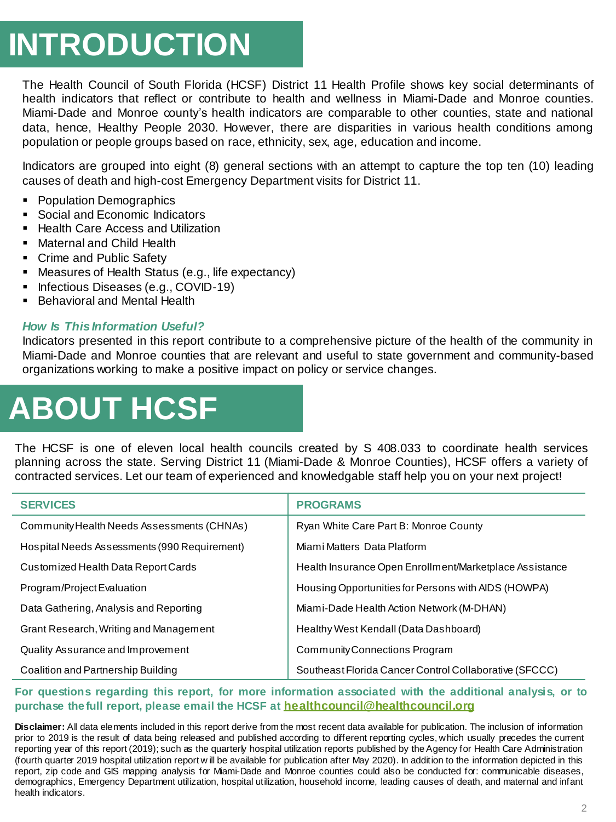### **INTRODUCTION**

The Health Council of South Florida (HCSF) District 11 Health Profile shows key social determinants of health indicators that reflect or contribute to health and wellness in Miami-Dade and Monroe counties. Miami-Dade and Monroe county's health indicators are comparable to other counties, state and national data, hence, Healthy People 2030. However, there are disparities in various health conditions among population or people groups based on race, ethnicity, sex, age, education and income.

Indicators are grouped into eight (8) general sections with an attempt to capture the top ten (10) leading causes of death and high-cost Emergency Department visits for District 11.

- **Population Demographics**
- Social and Economic Indicators
- Health Care Access and Utilization
- Maternal and Child Health
- Crime and Public Safety
- Measures of Health Status (e.g., life expectancy)
- Infectious Diseases (e.g., COVID-19)
- Behavioral and Mental Health

#### *How Is This Information Useful?*

Indicators presented in this report contribute to a comprehensive picture of the health of the community in Miami-Dade and Monroe counties that are relevant and useful to state government and community-based organizations working to make a positive impact on policy or service changes.

# **ABOUT HCSF**

The HCSF is one of eleven local health councils created by S 408.033 to coordinate health services planning across the state. Serving District 11 (Miami-Dade & Monroe Counties), HCSF offers a variety of contracted services. Let our team of experienced and knowledgable staff help you on your next project!

| <b>SERVICES</b>                              | <b>PROGRAMS</b>                                         |
|----------------------------------------------|---------------------------------------------------------|
| Community Health Needs Assessments (CHNAs)   | Ryan White Care Part B: Monroe County                   |
| Hospital Needs Assessments (990 Requirement) | Miami Matters Data Platform                             |
| Customized Health Data Report Cards          | Health Insurance Open Enrollment/Marketplace Assistance |
| Program/Project Evaluation                   | Housing Opportunities for Persons with AIDS (HOWPA)     |
| Data Gathering, Analysis and Reporting       | Miami-Dade Health Action Network (M-DHAN)               |
| Grant Research, Writing and Management       | Healthy West Kendall (Data Dashboard)                   |
| Quality Assurance and Improvement            | Community Connections Program                           |
| Coalition and Partnership Building           | Southeast Florida Cancer Control Collaborative (SFCCC)  |

#### **For questions regarding this report, for more information associated with the additional analysis, or to purchase thefull report, please email the HCSF at healthcouncil@healthcouncil.org**

**Disclaimer:** All data elements included in this report derive from the most recent data available for publication. The inclusion of information prior to 2019 is the result of data being released and published according to different reporting cycles, which usually precedes the current reporting year of this report (2019); such as the quarterly hospital utilization reports published by the Agency for Health Care Administration (fourth quarter 2019 hospital utilization report w ill be available for publication after May 2020). In addition to the information depicted in this report, zip code and GIS mapping analysis for Miami-Dade and Monroe counties could also be conducted for: communicable diseases, demographics, Emergency Department utilization, hospital utilization, household income, leading causes of death, and maternal and infant health indicators.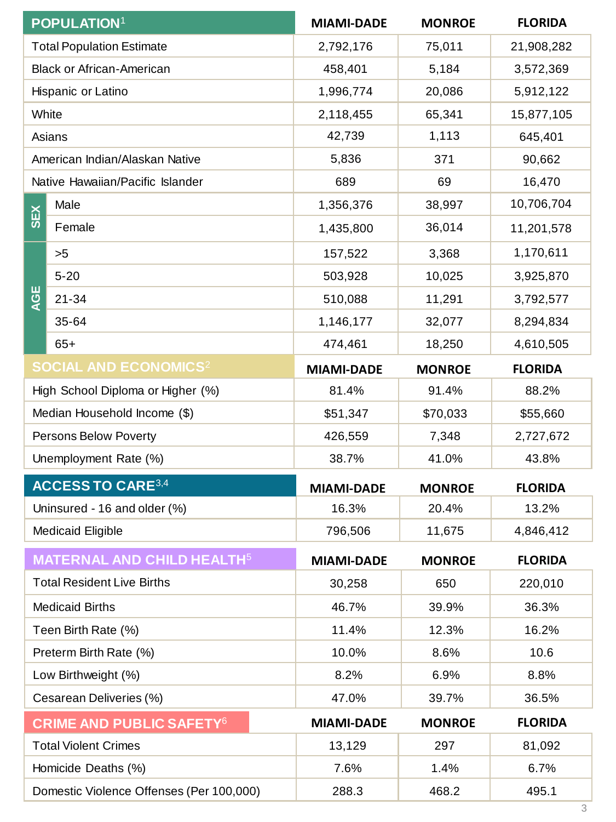|                       | <b>POPULATION1</b>                           | <b>MIAMI-DADE</b> | <b>MONROE</b> | <b>FLORIDA</b> |
|-----------------------|----------------------------------------------|-------------------|---------------|----------------|
|                       | <b>Total Population Estimate</b>             | 2,792,176         | 75,011        | 21,908,282     |
|                       | <b>Black or African-American</b>             | 458,401           | 5,184         | 3,572,369      |
|                       | Hispanic or Latino                           | 1,996,774         | 20,086        | 5,912,122      |
|                       | White                                        | 2,118,455         | 65,341        | 15,877,105     |
|                       | Asians                                       | 42,739            | 1,113         | 645,401        |
|                       | American Indian/Alaskan Native               | 5,836             | 371           | 90,662         |
|                       | Native Hawaiian/Pacific Islander             | 689               | 69            | 16,470         |
| <b>SEX</b>            | Male                                         | 1,356,376         | 38,997        | 10,706,704     |
|                       | Female                                       | 1,435,800         | 36,014        | 11,201,578     |
|                       | >5                                           | 157,522           | 3,368         | 1,170,611      |
|                       | $5 - 20$                                     | 503,928           | 10,025        | 3,925,870      |
| <b>AGE</b>            | $21 - 34$                                    | 510,088           | 11,291        | 3,792,577      |
|                       | 35-64                                        | 1,146,177         | 32,077        | 8,294,834      |
|                       | $65+$                                        | 474,461           | 18,250        | 4,610,505      |
|                       | <b>SOCIAL AND ECONOMICS<sup>2</sup></b>      | <b>MIAMI-DADE</b> | <b>MONROE</b> | <b>FLORIDA</b> |
|                       | High School Diploma or Higher (%)            | 81.4%             | 91.4%         | 88.2%          |
|                       | Median Household Income (\$)                 | \$51,347          | \$70,033      | \$55,660       |
|                       | Persons Below Poverty                        | 426,559           | 7,348         | 2,727,672      |
| Unemployment Rate (%) |                                              | 38.7%             | 41.0%         | 43.8%          |
|                       | <b>ACCESS TO CARE3,4</b>                     | <b>MIAMI-DADE</b> | <b>MONROE</b> | <b>FLORIDA</b> |
|                       | Uninsured - 16 and older (%)                 | 16.3%             | 20.4%         | 13.2%          |
|                       | <b>Medicaid Eligible</b>                     | 796,506           | 11,675        | 4,846,412      |
|                       | <b>MATERNAL AND CHILD HEALTH<sup>5</sup></b> | <b>MIAMI-DADE</b> | <b>MONROE</b> | <b>FLORIDA</b> |
|                       | <b>Total Resident Live Births</b>            | 30,258            | 650           | 220,010        |
|                       | <b>Medicaid Births</b>                       | 46.7%             | 39.9%         | 36.3%          |
|                       | Teen Birth Rate (%)                          | 11.4%             | 12.3%         | 16.2%          |
|                       | Preterm Birth Rate (%)                       | 10.0%             | 8.6%          | 10.6           |
|                       | Low Birthweight (%)                          | 8.2%              | 6.9%          | 8.8%           |
|                       | Cesarean Deliveries (%)                      | 47.0%             | 39.7%         | 36.5%          |
|                       | <b>CRIME AND PUBLIC SAFETY<sup>6</sup></b>   | <b>MIAMI-DADE</b> | <b>MONROE</b> | <b>FLORIDA</b> |
|                       | <b>Total Violent Crimes</b>                  | 13,129            | 297           | 81,092         |
|                       | Homicide Deaths (%)                          | 7.6%              | 1.4%          | 6.7%           |
|                       | Domestic Violence Offenses (Per 100,000)     | 288.3             | 468.2         | 495.1          |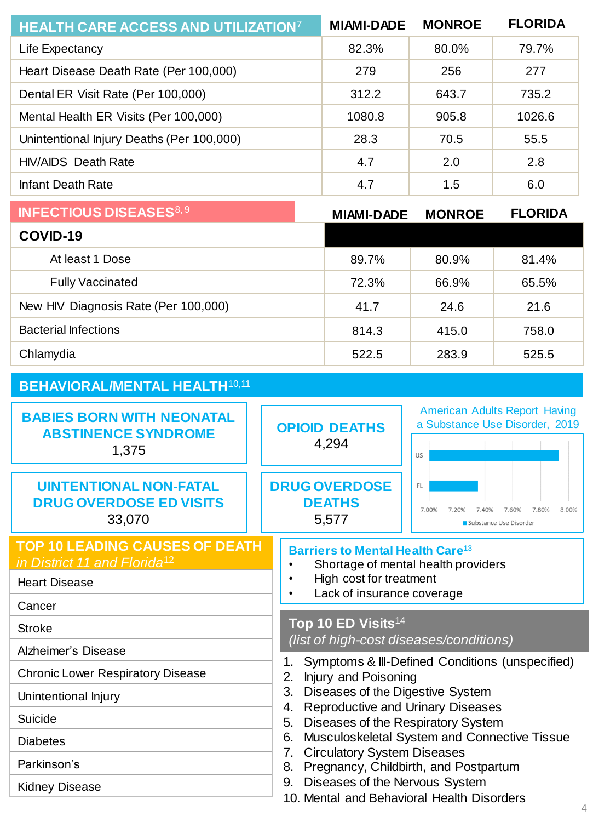| <b>HEALTH CARE ACCESS AND UTILIZATION?</b> | <b>MIAMI-DADE</b> | <b>MONROE</b> | <b>FLORIDA</b> |
|--------------------------------------------|-------------------|---------------|----------------|
| Life Expectancy                            | 82.3%             | 80.0%         | 79.7%          |
| Heart Disease Death Rate (Per 100,000)     | 279               | 256           | 277            |
| Dental ER Visit Rate (Per 100,000)         | 312.2             | 643.7         | 735.2          |
| Mental Health ER Visits (Per 100,000)      | 1080.8            | 905.8         | 1026.6         |
| Unintentional Injury Deaths (Per 100,000)  | 28.3              | 70.5          | 55.5           |
| <b>HIV/AIDS</b> Death Rate                 | 4.7               | 2.0           | 2.8            |
| <b>Infant Death Rate</b>                   | 4.7               | 1.5           | 6.0            |
| <b>INFECTIOUS DISEASES<sup>8, 9</sup></b>  | <b>MIAMI-DADE</b> | <b>MONROE</b> | <b>FLORIDA</b> |
| COVID-19                                   |                   |               |                |
| At least 1 Dose                            | 89.7%             | 80.9%         | 81.4%          |

|                                      | ----  |       | ----- |
|--------------------------------------|-------|-------|-------|
| <b>Fully Vaccinated</b>              | 72.3% | 66.9% | 65.5% |
| New HIV Diagnosis Rate (Per 100,000) | 41.7  | 24.6  | 21.6  |
| <b>Bacterial Infections</b>          | 814.3 | 415.0 | 758.0 |
| Chlamydia                            | 522.5 | 283.9 | 525.5 |

| <b>BEHAVIORAL/MENTAL HEALTH10,11</b>                                                                                                                          |                                                                                                                                                                                                                           |                                                                                                                                                                                                                                                                                                                                                                                                              |  |  |
|---------------------------------------------------------------------------------------------------------------------------------------------------------------|---------------------------------------------------------------------------------------------------------------------------------------------------------------------------------------------------------------------------|--------------------------------------------------------------------------------------------------------------------------------------------------------------------------------------------------------------------------------------------------------------------------------------------------------------------------------------------------------------------------------------------------------------|--|--|
| <b>BABIES BORN WITH NEONATAL</b><br><b>ABSTINENCE SYNDROME</b><br>1,375                                                                                       | <b>OPIOID DEATHS</b><br>4,294                                                                                                                                                                                             | <b>American Adults Report Having</b><br>a Substance Use Disorder, 2019<br>US                                                                                                                                                                                                                                                                                                                                 |  |  |
| <b>UINTENTIONAL NON-FATAL</b><br><b>DRUG OVERDOSE ED VISITS</b><br>33,070                                                                                     | <b>DRUG OVERDOSE</b><br><b>DEATHS</b><br>5,577                                                                                                                                                                            | FL.<br>7.00%<br>7.80%<br>8.00%<br>7.60%<br>7.40%<br>Substance Use Disorder                                                                                                                                                                                                                                                                                                                                   |  |  |
| <b>TOP 10 LEADING CAUSES OF DEATH</b><br>in District 11 and Florida <sup>12</sup><br><b>Heart Disease</b><br>Cancer<br><b>Stroke</b>                          | Barriers to Mental Health Care <sup>13</sup><br>Shortage of mental health providers<br>High cost for treatment<br>Lack of insurance coverage<br>Top 10 ED Visits <sup>14</sup><br>(list of high-cost diseases/conditions) |                                                                                                                                                                                                                                                                                                                                                                                                              |  |  |
| Alzheimer's Disease<br><b>Chronic Lower Respiratory Disease</b><br>Unintentional Injury<br>Suicide<br><b>Diabetes</b><br>Parkinson's<br><b>Kidney Disease</b> | 1.<br>2.<br>3.<br>4.<br>5.<br>6.<br>7.<br>8.<br>9.                                                                                                                                                                        | Symptoms & III-Defined Conditions (unspecified)<br>Injury and Poisoning<br>Diseases of the Digestive System<br><b>Reproductive and Urinary Diseases</b><br>Diseases of the Respiratory System<br>Musculoskeletal System and Connective Tissue<br><b>Circulatory System Diseases</b><br>Pregnancy, Childbirth, and Postpartum<br>Diseases of the Nervous System<br>10. Mental and Behavioral Health Disorders |  |  |
|                                                                                                                                                               |                                                                                                                                                                                                                           |                                                                                                                                                                                                                                                                                                                                                                                                              |  |  |